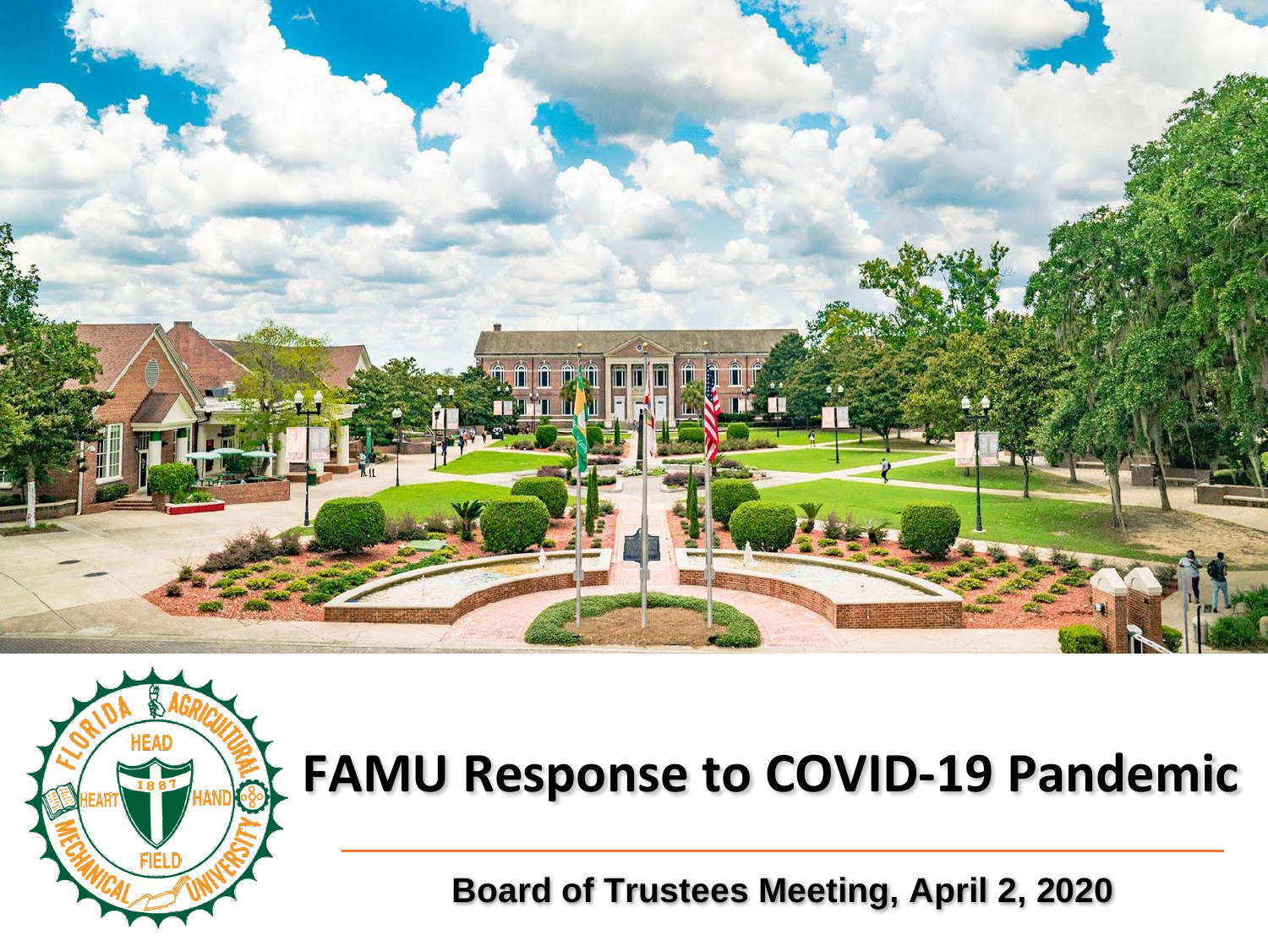



**Board of Trustees Meeting, April 2, 2020**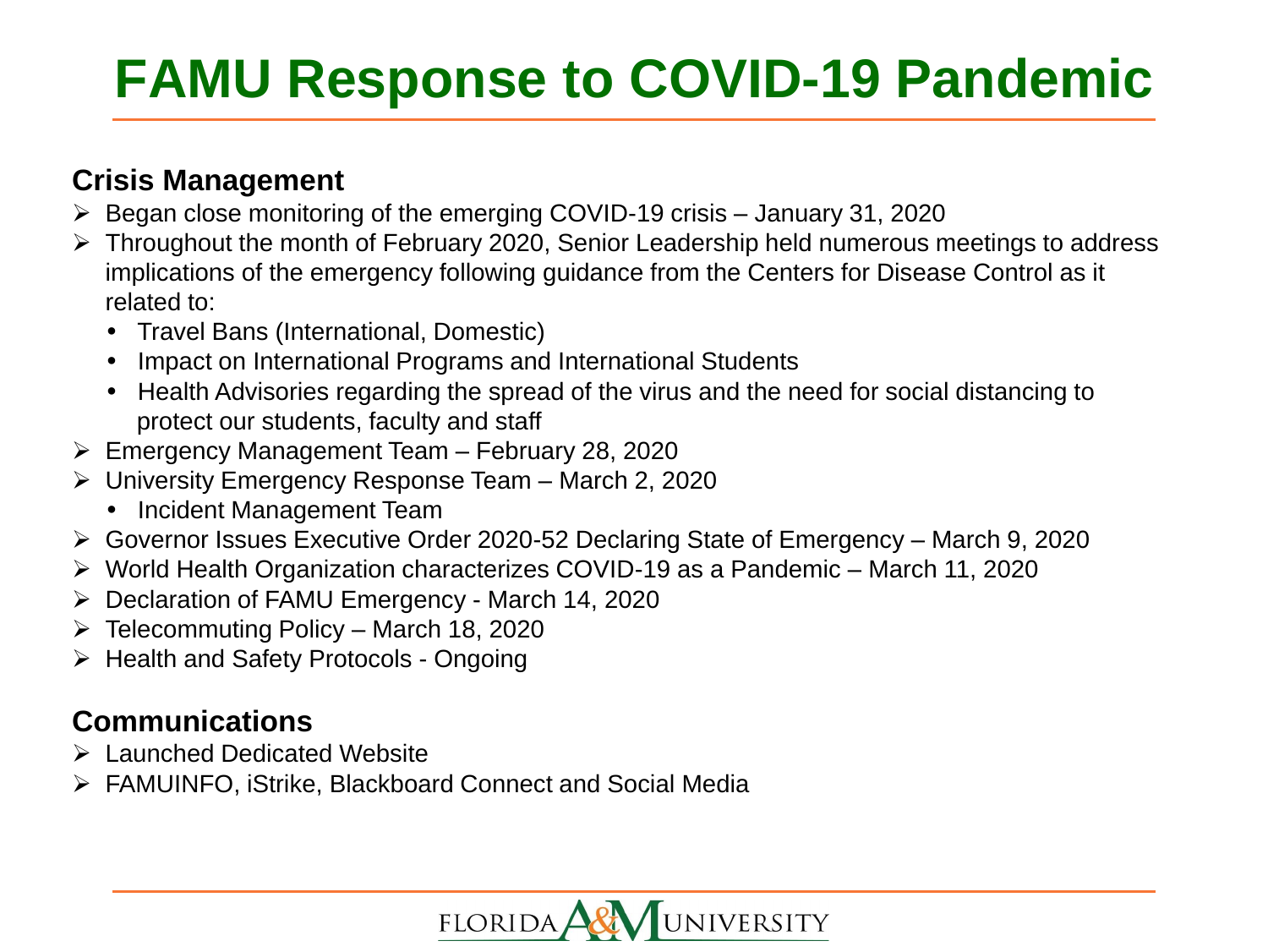#### **Crisis Management**

- $\triangleright$  Began close monitoring of the emerging COVID-19 crisis January 31, 2020
- Throughout the month of February 2020, Senior Leadership held numerous meetings to address implications of the emergency following guidance from the Centers for Disease Control as it related to:
	- Travel Bans (International, Domestic)
	- Impact on International Programs and International Students
	- Health Advisories regarding the spread of the virus and the need for social distancing to protect our students, faculty and staff
- $\triangleright$  Emergency Management Team February 28, 2020
- University Emergency Response Team March 2, 2020
	- Incident Management Team
- Governor Issues Executive Order 2020-52 Declaring State of Emergency March 9, 2020
- World Health Organization characterizes COVID-19 as a Pandemic March 11, 2020
- Declaration of FAMU Emergency March 14, 2020
- $\triangleright$  Telecommuting Policy March 18, 2020
- > Health and Safety Protocols Ongoing

## **Communications**

- Launched Dedicated Website
- FAMUINFO, iStrike, Blackboard Connect and Social Media

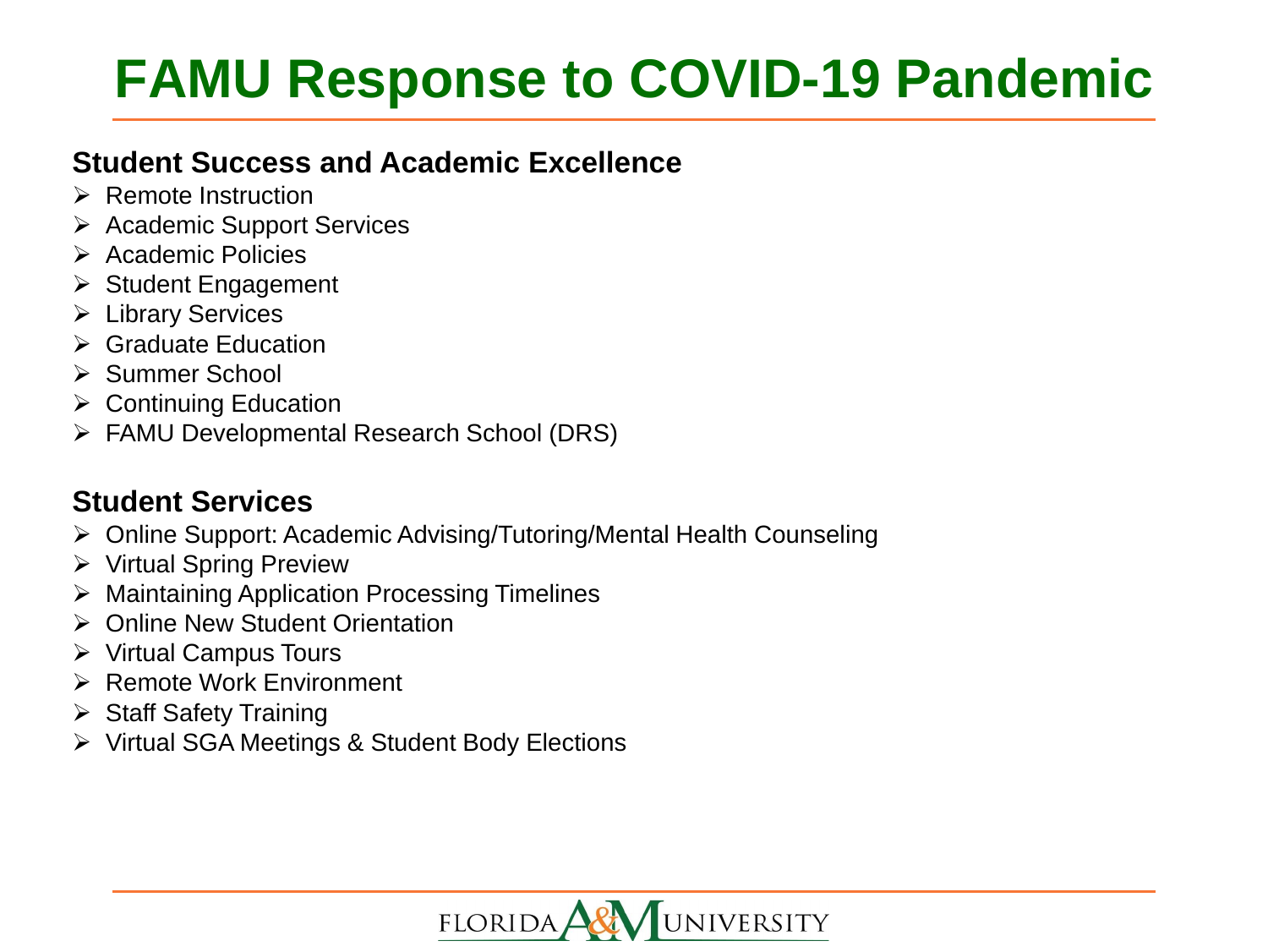### **Student Success and Academic Excellence**

- $\triangleright$  Remote Instruction
- **▶ Academic Support Services**
- $\triangleright$  Academic Policies
- $\triangleright$  Student Engagement
- **E** Library Services
- $\triangleright$  Graduate Education
- **≻ Summer School**
- $\triangleright$  Continuing Education
- FAMU Developmental Research School (DRS)

### **Student Services**

- Online Support: Academic Advising/Tutoring/Mental Health Counseling
- ▶ Virtual Spring Preview
- **▶ Maintaining Application Processing Timelines**
- Online New Student Orientation
- Virtual Campus Tours
- $\triangleright$  Remote Work Environment
- $\triangleright$  Staff Safety Training
- Virtual SGA Meetings & Student Body Elections

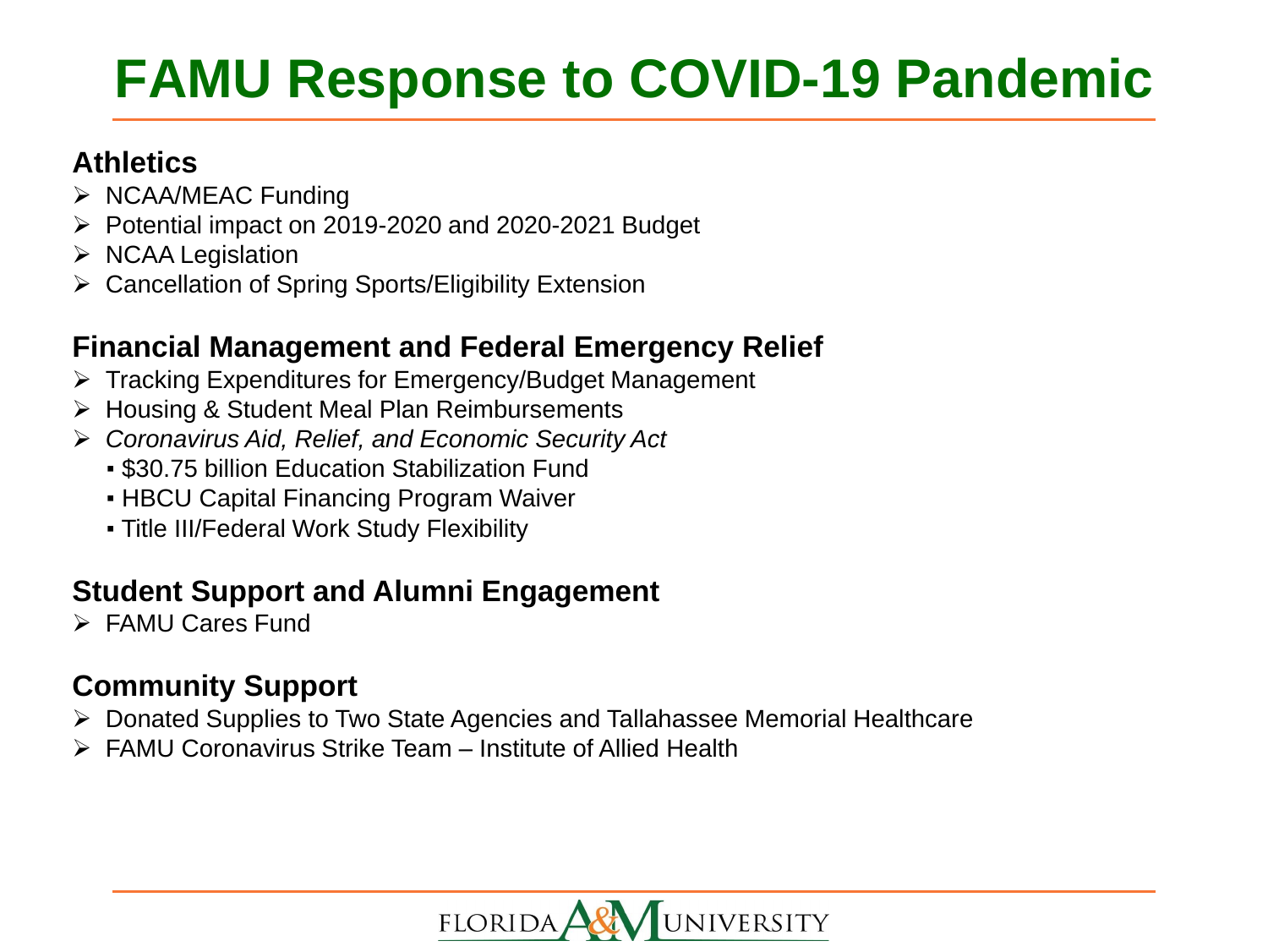### **Athletics**

- $\triangleright$  NCAA/MEAC Funding
- $\triangleright$  Potential impact on 2019-2020 and 2020-2021 Budget
- $\triangleright$  NCAA Legislation
- Cancellation of Spring Sports/Eligibility Extension

## **Financial Management and Federal Emergency Relief**

- Tracking Expenditures for Emergency/Budget Management
- Housing & Student Meal Plan Reimbursements
- *Coronavirus Aid, Relief, and Economic Security Act*
	- \$30.75 billion Education Stabilization Fund
	- **HBCU Capital Financing Program Waiver**
	- **Title III/Federal Work Study Flexibility**

## **Student Support and Alumni Engagement**

FAMU Cares Fund

## **Community Support**

- Donated Supplies to Two State Agencies and Tallahassee Memorial Healthcare
- FAMU Coronavirus Strike Team Institute of Allied Health